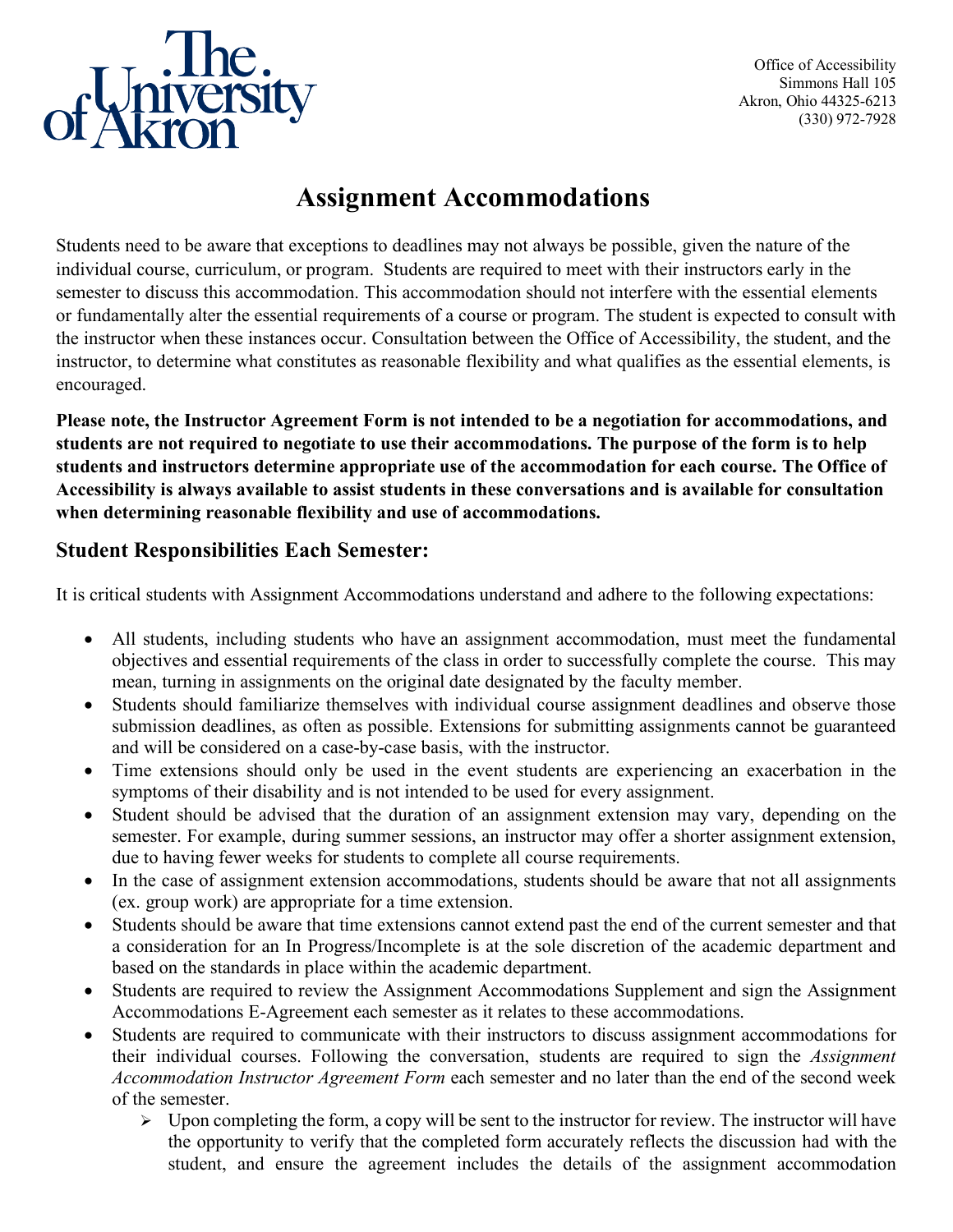

Office of Accessibility Simmons Hall 105 Akron, Ohio 44325-6213 (330) 972-7928

## **Assignment Accommodations**

Students need to be aware that exceptions to deadlines may not always be possible, given the nature of the individual course, curriculum, or program. Students are required to meet with their instructors early in the semester to discuss this accommodation. This accommodation should not interfere with the essential elements or fundamentally alter the essential requirements of a course or program. The student is expected to consult with the instructor when these instances occur. Consultation between the Office of Accessibility, the student, and the instructor, to determine what constitutes as reasonable flexibility and what qualifies as the essential elements, is encouraged.

**Please note, the Instructor Agreement Form is not intended to be a negotiation for accommodations, and students are not required to negotiate to use their accommodations. The purpose of the form is to help students and instructors determine appropriate use of the accommodation for each course. The Office of Accessibility is always available to assist students in these conversations and is available for consultation when determining reasonable flexibility and use of accommodations.**

## **Student Responsibilities Each Semester:**

It is critical students with Assignment Accommodations understand and adhere to the following expectations:

- All students, including students who have an assignment accommodation, must meet the fundamental objectives and essential requirements of the class in order to successfully complete the course. This may mean, turning in assignments on the original date designated by the faculty member.
- Students should familiarize themselves with individual course assignment deadlines and observe those submission deadlines, as often as possible. Extensions for submitting assignments cannot be guaranteed and will be considered on a case-by-case basis, with the instructor.
- Time extensions should only be used in the event students are experiencing an exacerbation in the symptoms of their disability and is not intended to be used for every assignment.
- Student should be advised that the duration of an assignment extension may vary, depending on the semester. For example, during summer sessions, an instructor may offer a shorter assignment extension, due to having fewer weeks for students to complete all course requirements.
- In the case of assignment extension accommodations, students should be aware that not all assignments (ex. group work) are appropriate for a time extension.
- Students should be aware that time extensions cannot extend past the end of the current semester and that a consideration for an In Progress/Incomplete is at the sole discretion of the academic department and based on the standards in place within the academic department.
- Students are required to review the Assignment Accommodations Supplement and sign the Assignment Accommodations E-Agreement each semester as it relates to these accommodations.
- Students are required to communicate with their instructors to discuss assignment accommodations for their individual courses. Following the conversation, students are required to sign the *Assignment Accommodation Instructor Agreement Form* each semester and no later than the end of the second week of the semester.
	- $\triangleright$  Upon completing the form, a copy will be sent to the instructor for review. The instructor will have the opportunity to verify that the completed form accurately reflects the discussion had with the student, and ensure the agreement includes the details of the assignment accommodation